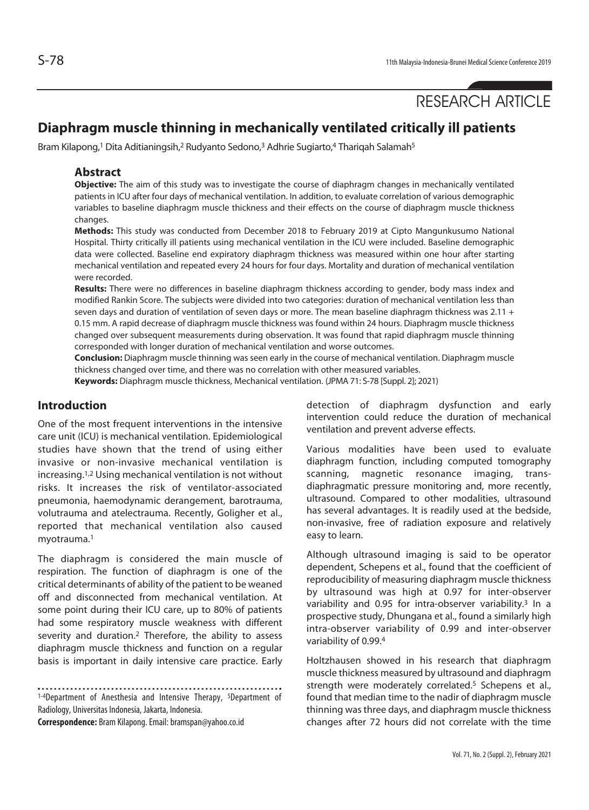# RESEARCH ARTICLE

# **Diaphragm muscle thinning in mechanically ventilated critically ill patients**

Bram Kilapong,<sup>1</sup> Dita Aditianingsih,<sup>2</sup> Rudyanto Sedono,<sup>3</sup> Adhrie Sugiarto,<sup>4</sup> Thariqah Salamah<sup>5</sup>

#### **Abstract**

**Objective:** The aim of this study was to investigate the course of diaphragm changes in mechanically ventilated patients in ICU after four days of mechanical ventilation. In addition, to evaluate correlation of various demographic variables to baseline diaphragm muscle thickness and their effects on the course of diaphragm muscle thickness changes.

**Methods:** This study was conducted from December 2018 to February 2019 at Cipto Mangunkusumo National Hospital. Thirty critically ill patients using mechanical ventilation in the ICU were included. Baseline demographic data were collected. Baseline end expiratory diaphragm thickness was measured within one hour after starting mechanical ventilation and repeated every 24 hours for four days. Mortality and duration of mechanical ventilation were recorded.

**Results:** There were no differences in baseline diaphragm thickness according to gender, body mass index and modified Rankin Score. The subjects were divided into two categories: duration of mechanical ventilation less than seven days and duration of ventilation of seven days or more. The mean baseline diaphragm thickness was 2.11 + 0.15 mm. A rapid decrease of diaphragm muscle thickness was found within 24 hours. Diaphragm muscle thickness changed over subsequent measurements during observation. It was found that rapid diaphragm muscle thinning corresponded with longer duration of mechanical ventilation and worse outcomes.

**Conclusion:** Diaphragm muscle thinning was seen early in the course of mechanical ventilation. Diaphragm muscle thickness changed over time, and there was no correlation with other measured variables.

**Keywords:** Diaphragm muscle thickness, Mechanical ventilation. (JPMA 71: S-78 [Suppl. 2]; 2021)

#### **Introduction**

One of the most frequent interventions in the intensive care unit (ICU) is mechanical ventilation. Epidemiological studies have shown that the trend of using either invasive or non-invasive mechanical ventilation is increasing.1,2 Using mechanical ventilation is not without risks. It increases the risk of ventilator-associated pneumonia, haemodynamic derangement, barotrauma, volutrauma and atelectrauma. Recently, Goligher et al., reported that mechanical ventilation also caused myotrauma.1

The diaphragm is considered the main muscle of respiration. The function of diaphragm is one of the critical determinants of ability of the patient to be weaned off and disconnected from mechanical ventilation. At some point during their ICU care, up to 80% of patients had some respiratory muscle weakness with different severity and duration.2 Therefore, the ability to assess diaphragm muscle thickness and function on a regular basis is important in daily intensive care practice. Early

1-4Department of Anesthesia and Intensive Therapy, <sup>5</sup>Department of Radiology, Universitas Indonesia, Jakarta, Indonesia.

**Correspondence:** Bram Kilapong. Email: bramspan@yahoo.co.id

detection of diaphragm dysfunction and early intervention could reduce the duration of mechanical ventilation and prevent adverse effects.

Various modalities have been used to evaluate diaphragm function, including computed tomography scanning, magnetic resonance imaging, transdiaphragmatic pressure monitoring and, more recently, ultrasound. Compared to other modalities, ultrasound has several advantages. It is readily used at the bedside, non-invasive, free of radiation exposure and relatively easy to learn.

Although ultrasound imaging is said to be operator dependent, Schepens et al., found that the coefficient of reproducibility of measuring diaphragm muscle thickness by ultrasound was high at 0.97 for inter-observer variability and 0.95 for intra-observer variability.3 In a prospective study, Dhungana et al., found a similarly high intra-observer variability of 0.99 and inter-observer variability of 0.99.4

Holtzhausen showed in his research that diaphragm muscle thickness measured by ultrasound and diaphragm strength were moderately correlated.<sup>5</sup> Schepens et al., found that median time to the nadir of diaphragm muscle thinning was three days, and diaphragm muscle thickness changes after 72 hours did not correlate with the time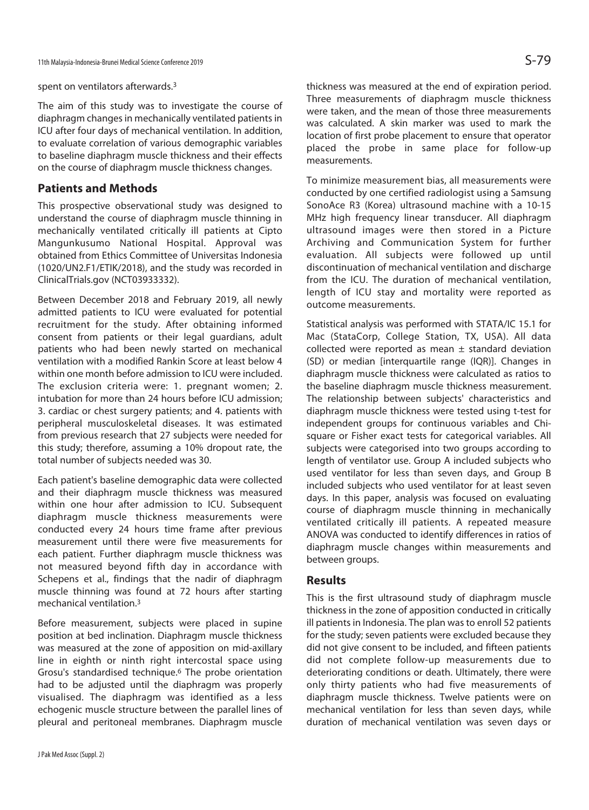spent on ventilators afterwards.3

The aim of this study was to investigate the course of diaphragm changes in mechanically ventilated patients in ICU after four days of mechanical ventilation. In addition, to evaluate correlation of various demographic variables to baseline diaphragm muscle thickness and their effects on the course of diaphragm muscle thickness changes.

## **Patients and Methods**

This prospective observational study was designed to understand the course of diaphragm muscle thinning in mechanically ventilated critically ill patients at Cipto Mangunkusumo National Hospital. Approval was obtained from Ethics Committee of Universitas Indonesia (1020/UN2.F1/ETIK/2018), and the study was recorded in ClinicalTrials.gov (NCT03933332).

Between December 2018 and February 2019, all newly admitted patients to ICU were evaluated for potential recruitment for the study. After obtaining informed consent from patients or their legal guardians, adult patients who had been newly started on mechanical ventilation with a modified Rankin Score at least below 4 within one month before admission to ICU were included. The exclusion criteria were: 1. pregnant women; 2. intubation for more than 24 hours before ICU admission; 3. cardiac or chest surgery patients; and 4. patients with peripheral musculoskeletal diseases. It was estimated from previous research that 27 subjects were needed for this study; therefore, assuming a 10% dropout rate, the total number of subjects needed was 30.

Each patient's baseline demographic data were collected and their diaphragm muscle thickness was measured within one hour after admission to ICU. Subsequent diaphragm muscle thickness measurements were conducted every 24 hours time frame after previous measurement until there were five measurements for each patient. Further diaphragm muscle thickness was not measured beyond fifth day in accordance with Schepens et al., findings that the nadir of diaphragm muscle thinning was found at 72 hours after starting mechanical ventilation.3

Before measurement, subjects were placed in supine position at bed inclination. Diaphragm muscle thickness was measured at the zone of apposition on mid-axillary line in eighth or ninth right intercostal space using Grosu's standardised technique.6 The probe orientation had to be adjusted until the diaphragm was properly visualised. The diaphragm was identified as a less echogenic muscle structure between the parallel lines of pleural and peritoneal membranes. Diaphragm muscle

thickness was measured at the end of expiration period. Three measurements of diaphragm muscle thickness were taken, and the mean of those three measurements was calculated. A skin marker was used to mark the location of first probe placement to ensure that operator placed the probe in same place for follow-up measurements.

To minimize measurement bias, all measurements were conducted by one certified radiologist using a Samsung SonoAce R3 (Korea) ultrasound machine with a 10-15 MHz high frequency linear transducer. All diaphragm ultrasound images were then stored in a Picture Archiving and Communication System for further evaluation. All subjects were followed up until discontinuation of mechanical ventilation and discharge from the ICU. The duration of mechanical ventilation, length of ICU stay and mortality were reported as outcome measurements.

Statistical analysis was performed with STATA/IC 15.1 for Mac (StataCorp, College Station, TX, USA). All data collected were reported as mean  $\pm$  standard deviation (SD) or median [interquartile range (IQR)]. Changes in diaphragm muscle thickness were calculated as ratios to the baseline diaphragm muscle thickness measurement. The relationship between subjects' characteristics and diaphragm muscle thickness were tested using t-test for independent groups for continuous variables and Chisquare or Fisher exact tests for categorical variables. All subjects were categorised into two groups according to length of ventilator use. Group A included subjects who used ventilator for less than seven days, and Group B included subjects who used ventilator for at least seven days. In this paper, analysis was focused on evaluating course of diaphragm muscle thinning in mechanically ventilated critically ill patients. A repeated measure ANOVA was conducted to identify differences in ratios of diaphragm muscle changes within measurements and between groups.

### **Results**

This is the first ultrasound study of diaphragm muscle thickness in the zone of apposition conducted in critically ill patients in Indonesia. The plan was to enroll 52 patients for the study; seven patients were excluded because they did not give consent to be included, and fifteen patients did not complete follow-up measurements due to deteriorating conditions or death. Ultimately, there were only thirty patients who had five measurements of diaphragm muscle thickness. Twelve patients were on mechanical ventilation for less than seven days, while duration of mechanical ventilation was seven days or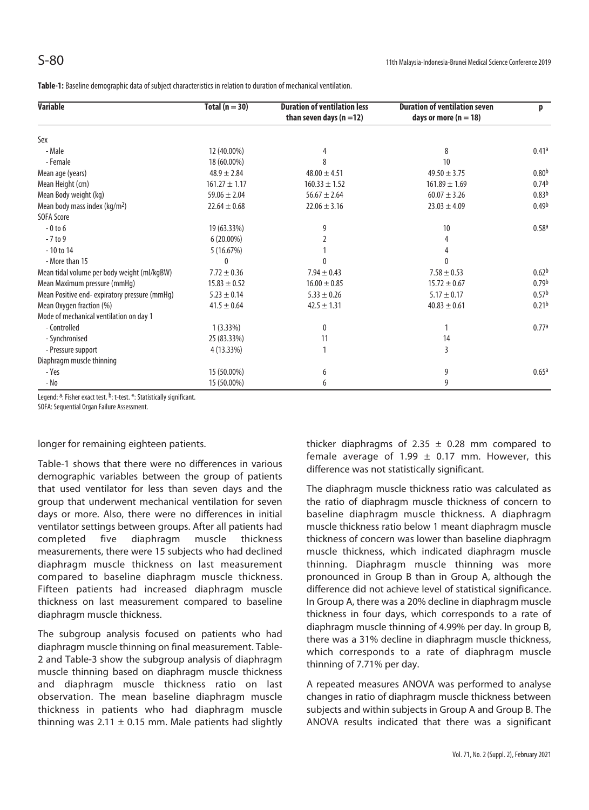**Table-1:** Baseline demographic data of subject characteristics in relation to duration of mechanical ventilation.

| <b>Variable</b>                               | Total $(n = 30)$  | <b>Duration of ventilation less</b><br>than seven days $(n=12)$ | <b>Duration of ventilation seven</b><br>days or more ( $n = 18$ ) | p                 |
|-----------------------------------------------|-------------------|-----------------------------------------------------------------|-------------------------------------------------------------------|-------------------|
| Sex                                           |                   |                                                                 |                                                                   |                   |
| - Male                                        | 12 (40.00%)       | 4                                                               | 8                                                                 | 0.41a             |
| - Female                                      | 18 (60.00%)       | 8                                                               | 10 <sup>1</sup>                                                   |                   |
| Mean age (years)                              | $48.9 \pm 2.84$   | $48.00 \pm 4.51$                                                | $49.50 \pm 3.75$                                                  | 0.80 <sup>b</sup> |
| Mean Height (cm)                              | $161.27 \pm 1.17$ | $160.33 \pm 1.52$                                               | $161.89 \pm 1.69$                                                 | 0.74 <sup>b</sup> |
| Mean Body weight (kg)                         | $59.06 \pm 2.04$  | $56.67 \pm 2.64$                                                | $60.07 \pm 3.26$                                                  | 0.83 <sup>b</sup> |
| Mean body mass index $(kq/m2)$                | $22.64 \pm 0.68$  | $22.06 \pm 3.16$                                                | $23.03 \pm 4.09$                                                  | 0.49 <sup>b</sup> |
| <b>SOFA Score</b>                             |                   |                                                                 |                                                                   |                   |
| $-0$ to 6                                     | 19 (63.33%)       | 9                                                               | 10                                                                | 0.58 <sup>a</sup> |
| $-7$ to 9                                     | $6(20.00\%)$      |                                                                 |                                                                   |                   |
| $-10$ to $14$                                 | 5(16.67%)         |                                                                 |                                                                   |                   |
| - More than 15                                |                   |                                                                 |                                                                   |                   |
| Mean tidal volume per body weight (ml/kgBW)   | $7.72 \pm 0.36$   | $7.94 \pm 0.43$                                                 | $7.58 \pm 0.53$                                                   | 0.62 <sup>b</sup> |
| Mean Maximum pressure (mmHg)                  | $15.83 \pm 0.52$  | $16.00 \pm 0.85$                                                | $15.72 \pm 0.67$                                                  | 0.79 <sup>b</sup> |
| Mean Positive end- expiratory pressure (mmHq) | $5.23 \pm 0.14$   | $5.33 \pm 0.26$                                                 | $5.17 \pm 0.17$                                                   | 0.57 <sup>b</sup> |
| Mean Oxygen fraction (%)                      | $41.5 \pm 0.64$   | $42.5 \pm 1.31$                                                 | $40.83 \pm 0.61$                                                  | 0.21 <sup>b</sup> |
| Mode of mechanical ventilation on day 1       |                   |                                                                 |                                                                   |                   |
| - Controlled                                  | $1(3.33\%)$       | $\Omega$                                                        |                                                                   | 0.77a             |
| - Synchronised                                | 25 (83.33%)       | 11                                                              | 14                                                                |                   |
| - Pressure support                            | 4 (13.33%)        |                                                                 | 3                                                                 |                   |
| Diaphragm muscle thinning                     |                   |                                                                 |                                                                   |                   |
| - Yes                                         | 15 (50.00%)       | 6                                                               | 9                                                                 | 0.65a             |
| - No                                          | 15 (50.00%)       | 6                                                               | 9                                                                 |                   |

Legend: <sup>a</sup>: Fisher exact test. <sup>b</sup>: t-test. \*: Statistically significant.

SOFA: Sequential Organ Failure Assessment.

#### longer for remaining eighteen patients.

Table-1 shows that there were no differences in various demographic variables between the group of patients that used ventilator for less than seven days and the group that underwent mechanical ventilation for seven days or more. Also, there were no differences in initial ventilator settings between groups. After all patients had completed five diaphragm muscle thickness measurements, there were 15 subjects who had declined diaphragm muscle thickness on last measurement compared to baseline diaphragm muscle thickness. Fifteen patients had increased diaphragm muscle thickness on last measurement compared to baseline diaphragm muscle thickness.

The subgroup analysis focused on patients who had diaphragm muscle thinning on final measurement. Table-2 and Table-3 show the subgroup analysis of diaphragm muscle thinning based on diaphragm muscle thickness and diaphragm muscle thickness ratio on last observation. The mean baseline diaphragm muscle thickness in patients who had diaphragm muscle thinning was  $2.11 \pm 0.15$  mm. Male patients had slightly thicker diaphragms of 2.35  $\pm$  0.28 mm compared to female average of 1.99  $\pm$  0.17 mm. However, this difference was not statistically significant.

The diaphragm muscle thickness ratio was calculated as the ratio of diaphragm muscle thickness of concern to baseline diaphragm muscle thickness. A diaphragm muscle thickness ratio below 1 meant diaphragm muscle thickness of concern was lower than baseline diaphragm muscle thickness, which indicated diaphragm muscle thinning. Diaphragm muscle thinning was more pronounced in Group B than in Group A, although the difference did not achieve level of statistical significance. In Group A, there was a 20% decline in diaphragm muscle thickness in four days, which corresponds to a rate of diaphragm muscle thinning of 4.99% per day. In group B, there was a 31% decline in diaphragm muscle thickness, which corresponds to a rate of diaphragm muscle thinning of 7.71% per day.

A repeated measures ANOVA was performed to analyse changes in ratio of diaphragm muscle thickness between subjects and within subjects in Group A and Group B. The ANOVA results indicated that there was a significant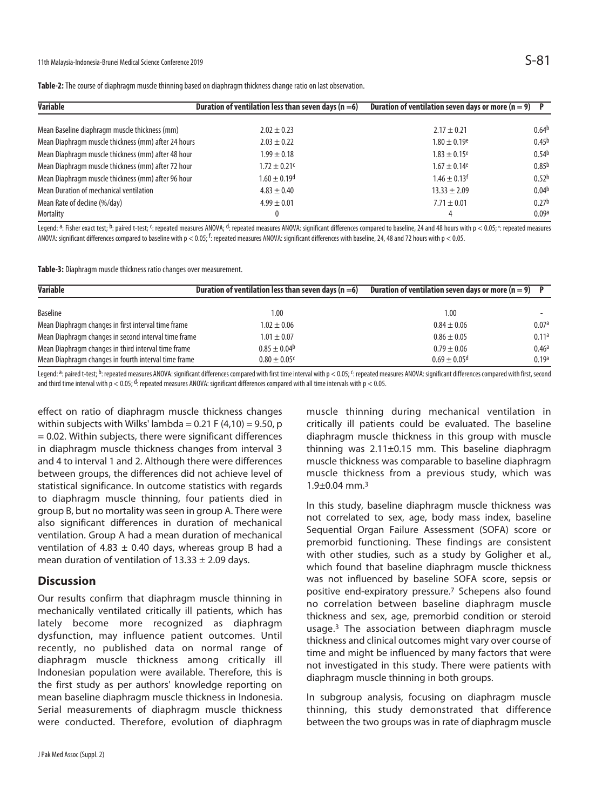| <b>Variable</b>                                     | Duration of ventilation less than seven days ( $n = 6$ ) | Duration of ventilation seven days or more ( $n = 9$ )<br>$\mathsf{P}$ |                   |
|-----------------------------------------------------|----------------------------------------------------------|------------------------------------------------------------------------|-------------------|
| Mean Baseline diaphragm muscle thickness (mm)       | $2.02 \pm 0.23$                                          | $2.17 \pm 0.21$                                                        | 0.64 <sup>b</sup> |
| Mean Diaphragm muscle thickness (mm) after 24 hours | $2.03 \pm 0.22$                                          | $1.80 \pm 0.19^e$                                                      | 0.45 <sup>b</sup> |
| Mean Diaphragm muscle thickness (mm) after 48 hour  | $1.99 \pm 0.18$                                          | $1.83 \pm 0.15$ <sup>e</sup>                                           | 0.54 <sup>b</sup> |
| Mean Diaphragm muscle thickness (mm) after 72 hour  | $1.72 \pm 0.21$ <sup>c</sup>                             | $1.67 \pm 0.14$ <sup>e</sup>                                           | 0.85 <sup>b</sup> |
| Mean Diaphragm muscle thickness (mm) after 96 hour  | $1.60 \pm 0.19$ <sup>d</sup>                             | $1.46 \pm 0.13$ <sup>f</sup>                                           | 0.52 <sup>b</sup> |
| Mean Duration of mechanical ventilation             | $4.83 \pm 0.40$                                          | $13.33 \pm 2.09$                                                       | 0.04 <sup>b</sup> |
| Mean Rate of decline (%/day)                        | $4.99 \pm 0.01$                                          | $7.71 \pm 0.01$                                                        | 0.27 <sup>b</sup> |
| <b>Mortality</b>                                    |                                                          |                                                                        | 0.09a             |

**Table-2:** The course of diaphragm muscle thinning based on diaphragm thickness change ratio on last observation.

Legend: <sup>a</sup>: Fisher exact test; <sup>b</sup>: paired t-test; <sup>c</sup>: repeated measures ANOVA; <sup>d</sup>: repeated measures ANOVA: significant differences compared to baseline, 24 and 48 hours with p < 0.05; <sup>e</sup>: repeated measures ANOVA: significant differences compared to baseline with p < 0.05; <sup>f</sup>: repeated measures ANOVA: significant differences with baseline, 24, 48 and 72 hours with p < 0.05.

**Table-3:** Diaphragm muscle thickness ratio changes over measurement.

| <b>Variable</b><br>Duration of ventilation less than seven days ( $n = 6$ ) |                              | Duration of ventilation seven days or more ( $n = 9$ ) |                   |
|-----------------------------------------------------------------------------|------------------------------|--------------------------------------------------------|-------------------|
| <b>Baseline</b>                                                             | 1.00                         | 1.00                                                   |                   |
| Mean Diaphragm changes in first interval time frame                         | $1.02 \pm 0.06$              | $0.84 \pm 0.06$                                        | 0.07a             |
| Mean Diaphragm changes in second interval time frame                        | $1.01 \pm 0.07$              | $0.86 \pm 0.05$                                        | 0.11a             |
| Mean Diaphragm changes in third interval time frame                         | $0.85 \pm 0.04$ <sup>b</sup> | $0.79 \pm 0.06$                                        | 0.46 <sup>a</sup> |
| Mean Diaphragm changes in fourth interval time frame                        | $0.80 \pm 0.05$ <sup>c</sup> | $0.69 \pm 0.05$ <sup>d</sup>                           | 0.19a             |

Legend: <sup>a</sup>: paired t-test; <sup>b</sup>: repeated measures ANOVA: significant differences compared with first time interval with p < 0.05; <sup>c</sup>: repeated measures ANOVA: significant differences compared with first, second and third time interval with  $p < 0.05$ ; d: repeated measures ANOVA: significant differences compared with all time intervals with  $p < 0.05$ .

effect on ratio of diaphragm muscle thickness changes within subjects with Wilks' lambda =  $0.21$  F (4,10) = 9.50, p = 0.02. Within subjects, there were significant differences in diaphragm muscle thickness changes from interval 3 and 4 to interval 1 and 2. Although there were differences between groups, the differences did not achieve level of statistical significance. In outcome statistics with regards to diaphragm muscle thinning, four patients died in group B, but no mortality was seen in group A. There were also significant differences in duration of mechanical ventilation. Group A had a mean duration of mechanical ventilation of 4.83  $\pm$  0.40 days, whereas group B had a mean duration of ventilation of  $13.33 \pm 2.09$  days.

### **Discussion**

Our results confirm that diaphragm muscle thinning in mechanically ventilated critically ill patients, which has lately become more recognized as diaphragm dysfunction, may influence patient outcomes. Until recently, no published data on normal range of diaphragm muscle thickness among critically ill Indonesian population were available. Therefore, this is the first study as per authors' knowledge reporting on mean baseline diaphragm muscle thickness in Indonesia. Serial measurements of diaphragm muscle thickness were conducted. Therefore, evolution of diaphragm

muscle thinning during mechanical ventilation in critically ill patients could be evaluated. The baseline diaphragm muscle thickness in this group with muscle thinning was  $2.11\pm0.15$  mm. This baseline diaphragm muscle thickness was comparable to baseline diaphragm muscle thickness from a previous study, which was  $1.9\pm0.04$  mm.<sup>3</sup>

In this study, baseline diaphragm muscle thickness was not correlated to sex, age, body mass index, baseline Sequential Organ Failure Assessment (SOFA) score or premorbid functioning. These findings are consistent with other studies, such as a study by Goligher et al., which found that baseline diaphragm muscle thickness was not influenced by baseline SOFA score, sepsis or positive end-expiratory pressure.7 Schepens also found no correlation between baseline diaphragm muscle thickness and sex, age, premorbid condition or steroid usage.3 The association between diaphragm muscle thickness and clinical outcomes might vary over course of time and might be influenced by many factors that were not investigated in this study. There were patients with diaphragm muscle thinning in both groups.

In subgroup analysis, focusing on diaphragm muscle thinning, this study demonstrated that difference between the two groups was in rate of diaphragm muscle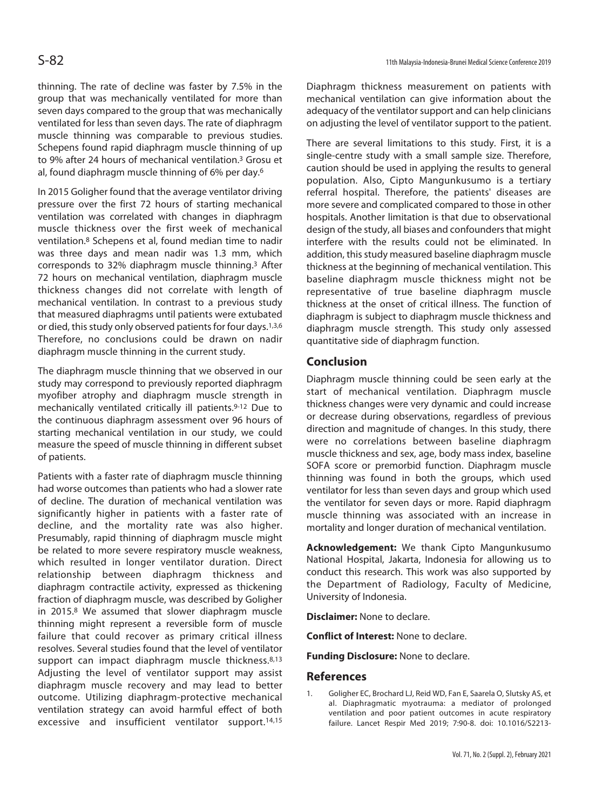thinning. The rate of decline was faster by 7.5% in the group that was mechanically ventilated for more than seven days compared to the group that was mechanically ventilated for less than seven days. The rate of diaphragm muscle thinning was comparable to previous studies. Schepens found rapid diaphragm muscle thinning of up to 9% after 24 hours of mechanical ventilation.3 Grosu et al, found diaphragm muscle thinning of 6% per day.6

In 2015 Goligher found that the average ventilator driving pressure over the first 72 hours of starting mechanical ventilation was correlated with changes in diaphragm muscle thickness over the first week of mechanical ventilation.8 Schepens et al, found median time to nadir was three days and mean nadir was 1.3 mm, which corresponds to 32% diaphragm muscle thinning.3 After 72 hours on mechanical ventilation, diaphragm muscle thickness changes did not correlate with length of mechanical ventilation. In contrast to a previous study that measured diaphragms until patients were extubated or died, this study only observed patients for four days.<sup>1,3,6</sup> Therefore, no conclusions could be drawn on nadir diaphragm muscle thinning in the current study.

The diaphragm muscle thinning that we observed in our study may correspond to previously reported diaphragm myofiber atrophy and diaphragm muscle strength in mechanically ventilated critically ill patients.9-12 Due to the continuous diaphragm assessment over 96 hours of starting mechanical ventilation in our study, we could measure the speed of muscle thinning in different subset of patients.

Patients with a faster rate of diaphragm muscle thinning had worse outcomes than patients who had a slower rate of decline. The duration of mechanical ventilation was significantly higher in patients with a faster rate of decline, and the mortality rate was also higher. Presumably, rapid thinning of diaphragm muscle might be related to more severe respiratory muscle weakness, which resulted in longer ventilator duration. Direct relationship between diaphragm thickness and diaphragm contractile activity, expressed as thickening fraction of diaphragm muscle, was described by Goligher in 2015.8 We assumed that slower diaphragm muscle thinning might represent a reversible form of muscle failure that could recover as primary critical illness resolves. Several studies found that the level of ventilator support can impact diaphragm muscle thickness.<sup>8,13</sup> Adjusting the level of ventilator support may assist diaphragm muscle recovery and may lead to better outcome. Utilizing diaphragm-protective mechanical ventilation strategy can avoid harmful effect of both excessive and insufficient ventilator support.14,15

Diaphragm thickness measurement on patients with mechanical ventilation can give information about the adequacy of the ventilator support and can help clinicians on adjusting the level of ventilator support to the patient.

There are several limitations to this study. First, it is a single-centre study with a small sample size. Therefore, caution should be used in applying the results to general population. Also, Cipto Mangunkusumo is a tertiary referral hospital. Therefore, the patients' diseases are more severe and complicated compared to those in other hospitals. Another limitation is that due to observational design of the study, all biases and confounders that might interfere with the results could not be eliminated. In addition, this study measured baseline diaphragm muscle thickness at the beginning of mechanical ventilation. This baseline diaphragm muscle thickness might not be representative of true baseline diaphragm muscle thickness at the onset of critical illness. The function of diaphragm is subject to diaphragm muscle thickness and diaphragm muscle strength. This study only assessed quantitative side of diaphragm function.

#### **Conclusion**

Diaphragm muscle thinning could be seen early at the start of mechanical ventilation. Diaphragm muscle thickness changes were very dynamic and could increase or decrease during observations, regardless of previous direction and magnitude of changes. In this study, there were no correlations between baseline diaphragm muscle thickness and sex, age, body mass index, baseline SOFA score or premorbid function. Diaphragm muscle thinning was found in both the groups, which used ventilator for less than seven days and group which used the ventilator for seven days or more. Rapid diaphragm muscle thinning was associated with an increase in mortality and longer duration of mechanical ventilation.

**Acknowledgement:** We thank Cipto Mangunkusumo National Hospital, Jakarta, Indonesia for allowing us to conduct this research. This work was also supported by the Department of Radiology, Faculty of Medicine, University of Indonesia.

**Disclaimer:** None to declare.

**Conflict of Interest:** None to declare.

**Funding Disclosure:** None to declare.

### **References**

1. Goligher EC, Brochard LJ, Reid WD, Fan E, Saarela O, Slutsky AS, et al. Diaphragmatic myotrauma: a mediator of prolonged ventilation and poor patient outcomes in acute respiratory failure. Lancet Respir Med 2019; 7:90-8. doi: 10.1016/S2213